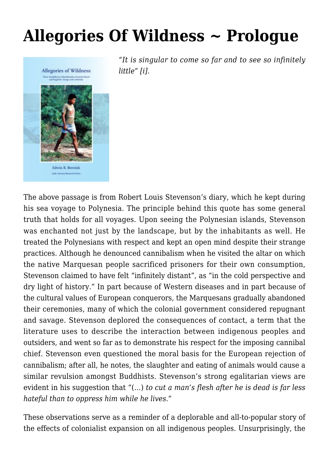## **[Allegories Of Wildness ~ Prologue](https://rozenbergquarterly.com/allegories-of-wildness-prologue/)**



*"It is singular to come so far and to see so infinitely little" [i].*

The above passage is from Robert Louis Stevenson's diary, which he kept during his sea voyage to Polynesia. The principle behind this quote has some general truth that holds for all voyages. Upon seeing the Polynesian islands, Stevenson was enchanted not just by the landscape, but by the inhabitants as well. He treated the Polynesians with respect and kept an open mind despite their strange practices. Although he denounced cannibalism when he visited the altar on which the native Marquesan people sacrificed prisoners for their own consumption, Stevenson claimed to have felt "infinitely distant", as "in the cold perspective and dry light of history." In part because of Western diseases and in part because of the cultural values of European conquerors, the Marquesans gradually abandoned their ceremonies, many of which the colonial government considered repugnant and savage. Stevenson deplored the consequences of contact, a term that the literature uses to describe the interaction between indigenous peoples and outsiders, and went so far as to demonstrate his respect for the imposing cannibal chief. Stevenson even questioned the moral basis for the European rejection of cannibalism; after all, he notes, the slaughter and eating of animals would cause a similar revulsion amongst Buddhists. Stevenson's strong egalitarian views are evident in his suggestion that "(…) *to cut a man's flesh after he is dead is far less hateful than to oppress him while he lives."*

These observations serve as a reminder of a deplorable and all-to-popular story of the effects of colonialist expansion on all indigenous peoples. Unsurprisingly, the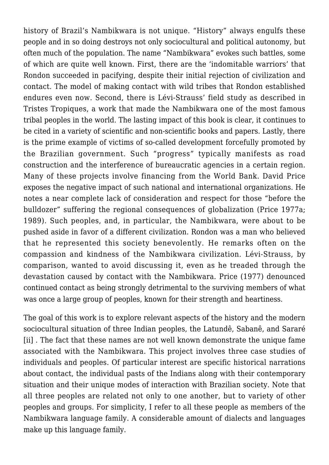history of Brazil's Nambikwara is not unique. "History" always engulfs these people and in so doing destroys not only sociocultural and political autonomy, but often much of the population. The name "Nambikwara" evokes such battles, some of which are quite well known. First, there are the 'indomitable warriors' that Rondon succeeded in pacifying, despite their initial rejection of civilization and contact. The model of making contact with wild tribes that Rondon established endures even now. Second, there is Lévi-Strauss' field study as described in Tristes Tropiques, a work that made the Nambikwara one of the most famous tribal peoples in the world. The lasting impact of this book is clear, it continues to be cited in a variety of scientific and non-scientific books and papers. Lastly, there is the prime example of victims of so-called development forcefully promoted by the Brazilian government. Such "progress" typically manifests as road construction and the interference of bureaucratic agencies in a certain region. Many of these projects involve financing from the World Bank. David Price exposes the negative impact of such national and international organizations. He notes a near complete lack of consideration and respect for those "before the bulldozer" suffering the regional consequences of globalization (Price 1977a; 1989). Such peoples, and, in particular, the Nambikwara, were about to be pushed aside in favor of a different civilization. Rondon was a man who believed that he represented this society benevolently. He remarks often on the compassion and kindness of the Nambikwara civilization. Lévi-Strauss, by comparison, wanted to avoid discussing it, even as he treaded through the devastation caused by contact with the Nambikwara. Price (1977) denounced continued contact as being strongly detrimental to the surviving members of what was once a large group of peoples, known for their strength and heartiness.

The goal of this work is to explore relevant aspects of the history and the modern sociocultural situation of three Indian peoples, the Latundê, Sabanê, and Sararé [ii] . The fact that these names are not well known demonstrate the unique fame associated with the Nambikwara. This project involves three case studies of individuals and peoples. Of particular interest are specific historical narrations about contact, the individual pasts of the Indians along with their contemporary situation and their unique modes of interaction with Brazilian society. Note that all three peoples are related not only to one another, but to variety of other peoples and groups. For simplicity, I refer to all these people as members of the Nambikwara language family. A considerable amount of dialects and languages make up this language family.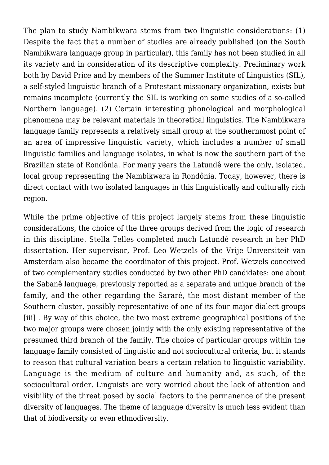The plan to study Nambikwara stems from two linguistic considerations: (1) Despite the fact that a number of studies are already published (on the South Nambikwara language group in particular), this family has not been studied in all its variety and in consideration of its descriptive complexity. Preliminary work both by David Price and by members of the Summer Institute of Linguistics (SIL), a self-styled linguistic branch of a Protestant missionary organization, exists but remains incomplete (currently the SIL is working on some studies of a so-called Northern language). (2) Certain interesting phonological and morphological phenomena may be relevant materials in theoretical linguistics. The Nambikwara language family represents a relatively small group at the southernmost point of an area of impressive linguistic variety, which includes a number of small linguistic families and language isolates, in what is now the southern part of the Brazilian state of Rondônia. For many years the Latundê were the only, isolated, local group representing the Nambikwara in Rondônia. Today, however, there is direct contact with two isolated languages in this linguistically and culturally rich region.

While the prime objective of this project largely stems from these linguistic considerations, the choice of the three groups derived from the logic of research in this discipline. Stella Telles completed much Latundê research in her PhD dissertation. Her supervisor, Prof. Leo Wetzels of the Vrije Universiteit van Amsterdam also became the coordinator of this project. Prof. Wetzels conceived of two complementary studies conducted by two other PhD candidates: one about the Sabanê language, previously reported as a separate and unique branch of the family, and the other regarding the Sararé, the most distant member of the Southern cluster, possibly representative of one of its four major dialect groups [iii] . By way of this choice, the two most extreme geographical positions of the two major groups were chosen jointly with the only existing representative of the presumed third branch of the family. The choice of particular groups within the language family consisted of linguistic and not sociocultural criteria, but it stands to reason that cultural variation bears a certain relation to linguistic variability. Language is the medium of culture and humanity and, as such, of the sociocultural order. Linguists are very worried about the lack of attention and visibility of the threat posed by social factors to the permanence of the present diversity of languages. The theme of language diversity is much less evident than that of biodiversity or even ethnodiversity.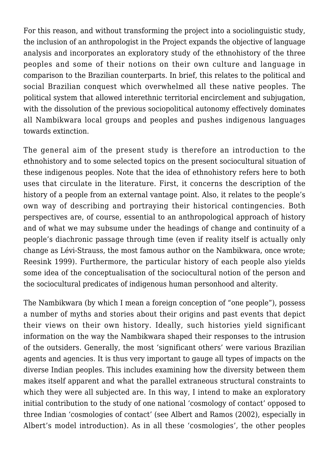For this reason, and without transforming the project into a sociolinguistic study, the inclusion of an anthropologist in the Project expands the objective of language analysis and incorporates an exploratory study of the ethnohistory of the three peoples and some of their notions on their own culture and language in comparison to the Brazilian counterparts. In brief, this relates to the political and social Brazilian conquest which overwhelmed all these native peoples. The political system that allowed interethnic territorial encirclement and subjugation, with the dissolution of the previous sociopolitical autonomy effectively dominates all Nambikwara local groups and peoples and pushes indigenous languages towards extinction.

The general aim of the present study is therefore an introduction to the ethnohistory and to some selected topics on the present sociocultural situation of these indigenous peoples. Note that the idea of ethnohistory refers here to both uses that circulate in the literature. First, it concerns the description of the history of a people from an external vantage point. Also, it relates to the people's own way of describing and portraying their historical contingencies. Both perspectives are, of course, essential to an anthropological approach of history and of what we may subsume under the headings of change and continuity of a people's diachronic passage through time (even if reality itself is actually only change as Lévi-Strauss, the most famous author on the Nambikwara, once wrote; Reesink 1999). Furthermore, the particular history of each people also yields some idea of the conceptualisation of the sociocultural notion of the person and the sociocultural predicates of indigenous human personhood and alterity.

The Nambikwara (by which I mean a foreign conception of "one people"), possess a number of myths and stories about their origins and past events that depict their views on their own history. Ideally, such histories yield significant information on the way the Nambikwara shaped their responses to the intrusion of the outsiders. Generally, the most 'significant others' were various Brazilian agents and agencies. It is thus very important to gauge all types of impacts on the diverse Indian peoples. This includes examining how the diversity between them makes itself apparent and what the parallel extraneous structural constraints to which they were all subjected are. In this way, I intend to make an exploratory initial contribution to the study of one national 'cosmology of contact' opposed to three Indian 'cosmologies of contact' (see Albert and Ramos (2002), especially in Albert's model introduction). As in all these 'cosmologies', the other peoples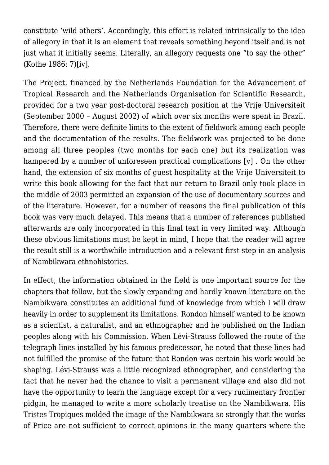constitute 'wild others'. Accordingly, this effort is related intrinsically to the idea of allegory in that it is an element that reveals something beyond itself and is not just what it initially seems. Literally, an allegory requests one "to say the other" (Kothe 1986: 7)[iv].

The Project, financed by the Netherlands Foundation for the Advancement of Tropical Research and the Netherlands Organisation for Scientific Research, provided for a two year post-doctoral research position at the Vrije Universiteit (September 2000 – August 2002) of which over six months were spent in Brazil. Therefore, there were definite limits to the extent of fieldwork among each people and the documentation of the results. The fieldwork was projected to be done among all three peoples (two months for each one) but its realization was hampered by a number of unforeseen practical complications [v] . On the other hand, the extension of six months of guest hospitality at the Vrije Universiteit to write this book allowing for the fact that our return to Brazil only took place in the middle of 2003 permitted an expansion of the use of documentary sources and of the literature. However, for a number of reasons the final publication of this book was very much delayed. This means that a number of references published afterwards are only incorporated in this final text in very limited way. Although these obvious limitations must be kept in mind, I hope that the reader will agree the result still is a worthwhile introduction and a relevant first step in an analysis of Nambikwara ethnohistories.

In effect, the information obtained in the field is one important source for the chapters that follow, but the slowly expanding and hardly known literature on the Nambikwara constitutes an additional fund of knowledge from which I will draw heavily in order to supplement its limitations. Rondon himself wanted to be known as a scientist, a naturalist, and an ethnographer and he published on the Indian peoples along with his Commission. When Lévi-Strauss followed the route of the telegraph lines installed by his famous predecessor, he noted that these lines had not fulfilled the promise of the future that Rondon was certain his work would be shaping. Lévi-Strauss was a little recognized ethnographer, and considering the fact that he never had the chance to visit a permanent village and also did not have the opportunity to learn the language except for a very rudimentary frontier pidgin, he managed to write a more scholarly treatise on the Nambikwara. His Tristes Tropiques molded the image of the Nambikwara so strongly that the works of Price are not sufficient to correct opinions in the many quarters where the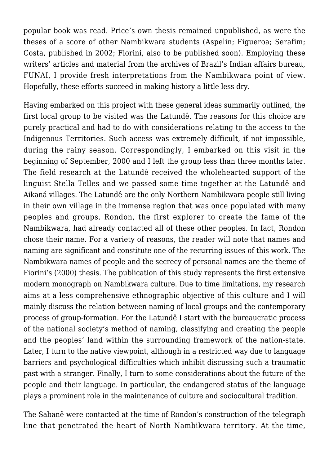popular book was read. Price's own thesis remained unpublished, as were the theses of a score of other Nambikwara students (Aspelin; Figueroa; Serafim; Costa, published in 2002; Fiorini, also to be published soon). Employing these writers' articles and material from the archives of Brazil's Indian affairs bureau, FUNAI, I provide fresh interpretations from the Nambikwara point of view. Hopefully, these efforts succeed in making history a little less dry.

Having embarked on this project with these general ideas summarily outlined, the first local group to be visited was the Latundê. The reasons for this choice are purely practical and had to do with considerations relating to the access to the Indigenous Territories. Such access was extremely difficult, if not impossible, during the rainy season. Correspondingly, I embarked on this visit in the beginning of September, 2000 and I left the group less than three months later. The field research at the Latundê received the wholehearted support of the linguist Stella Telles and we passed some time together at the Latundê and Aikaná villages. The Latundê are the only Northern Nambikwara people still living in their own village in the immense region that was once populated with many peoples and groups. Rondon, the first explorer to create the fame of the Nambikwara, had already contacted all of these other peoples. In fact, Rondon chose their name. For a variety of reasons, the reader will note that names and naming are significant and constitute one of the recurring issues of this work. The Nambikwara names of people and the secrecy of personal names are the theme of Fiorini's (2000) thesis. The publication of this study represents the first extensive modern monograph on Nambikwara culture. Due to time limitations, my research aims at a less comprehensive ethnographic objective of this culture and I will mainly discuss the relation between naming of local groups and the contemporary process of group-formation. For the Latundê I start with the bureaucratic process of the national society's method of naming, classifying and creating the people and the peoples' land within the surrounding framework of the nation-state. Later, I turn to the native viewpoint, although in a restricted way due to language barriers and psychological difficulties which inhibit discussing such a traumatic past with a stranger. Finally, I turn to some considerations about the future of the people and their language. In particular, the endangered status of the language plays a prominent role in the maintenance of culture and sociocultural tradition.

The Sabanê were contacted at the time of Rondon's construction of the telegraph line that penetrated the heart of North Nambikwara territory. At the time,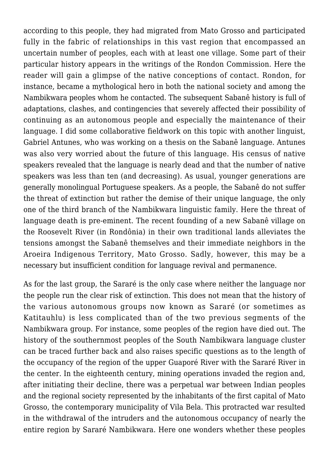according to this people, they had migrated from Mato Grosso and participated fully in the fabric of relationships in this vast region that encompassed an uncertain number of peoples, each with at least one village. Some part of their particular history appears in the writings of the Rondon Commission. Here the reader will gain a glimpse of the native conceptions of contact. Rondon, for instance, became a mythological hero in both the national society and among the Nambikwara peoples whom he contacted. The subsequent Sabanê history is full of adaptations, clashes, and contingencies that severely affected their possibility of continuing as an autonomous people and especially the maintenance of their language. I did some collaborative fieldwork on this topic with another linguist, Gabriel Antunes, who was working on a thesis on the Sabanê language. Antunes was also very worried about the future of this language. His census of native speakers revealed that the language is nearly dead and that the number of native speakers was less than ten (and decreasing). As usual, younger generations are generally monolingual Portuguese speakers. As a people, the Sabanê do not suffer the threat of extinction but rather the demise of their unique language, the only one of the third branch of the Nambikwara linguistic family. Here the threat of language death is pre-eminent. The recent founding of a new Sabanê village on the Roosevelt River (in Rondônia) in their own traditional lands alleviates the tensions amongst the Sabanê themselves and their immediate neighbors in the Aroeira Indigenous Territory, Mato Grosso. Sadly, however, this may be a necessary but insufficient condition for language revival and permanence.

As for the last group, the Sararé is the only case where neither the language nor the people run the clear risk of extinction. This does not mean that the history of the various autonomous groups now known as Sararé (or sometimes as Katitauhlu) is less complicated than of the two previous segments of the Nambikwara group. For instance, some peoples of the region have died out. The history of the southernmost peoples of the South Nambikwara language cluster can be traced further back and also raises specific questions as to the length of the occupancy of the region of the upper Guaporé River with the Sararé River in the center. In the eighteenth century, mining operations invaded the region and, after initiating their decline, there was a perpetual war between Indian peoples and the regional society represented by the inhabitants of the first capital of Mato Grosso, the contemporary municipality of Vila Bela. This protracted war resulted in the withdrawal of the intruders and the autonomous occupancy of nearly the entire region by Sararé Nambikwara. Here one wonders whether these peoples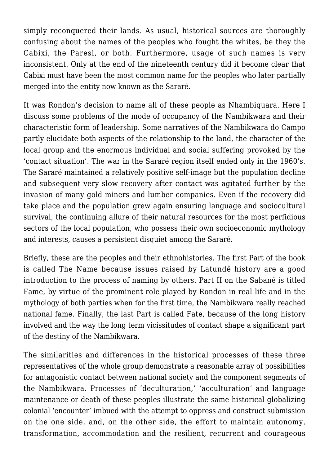simply reconquered their lands. As usual, historical sources are thoroughly confusing about the names of the peoples who fought the whites, be they the Cabixi, the Paresi, or both. Furthermore, usage of such names is very inconsistent. Only at the end of the nineteenth century did it become clear that Cabixi must have been the most common name for the peoples who later partially merged into the entity now known as the Sararé.

It was Rondon's decision to name all of these people as Nhambiquara. Here I discuss some problems of the mode of occupancy of the Nambikwara and their characteristic form of leadership. Some narratives of the Nambikwara do Campo partly elucidate both aspects of the relationship to the land, the character of the local group and the enormous individual and social suffering provoked by the 'contact situation'. The war in the Sararé region itself ended only in the 1960's. The Sararé maintained a relatively positive self-image but the population decline and subsequent very slow recovery after contact was agitated further by the invasion of many gold miners and lumber companies. Even if the recovery did take place and the population grew again ensuring language and sociocultural survival, the continuing allure of their natural resources for the most perfidious sectors of the local population, who possess their own socioeconomic mythology and interests, causes a persistent disquiet among the Sararé.

Briefly, these are the peoples and their ethnohistories. The first Part of the book is called The Name because issues raised by Latundê history are a good introduction to the process of naming by others. Part II on the Sabanê is titled Fame, by virtue of the prominent role played by Rondon in real life and in the mythology of both parties when for the first time, the Nambikwara really reached national fame. Finally, the last Part is called Fate, because of the long history involved and the way the long term vicissitudes of contact shape a significant part of the destiny of the Nambikwara.

The similarities and differences in the historical processes of these three representatives of the whole group demonstrate a reasonable array of possibilities for antagonistic contact between national society and the component segments of the Nambikwara. Processes of 'deculturation,' 'acculturation' and language maintenance or death of these peoples illustrate the same historical globalizing colonial 'encounter' imbued with the attempt to oppress and construct submission on the one side, and, on the other side, the effort to maintain autonomy, transformation, accommodation and the resilient, recurrent and courageous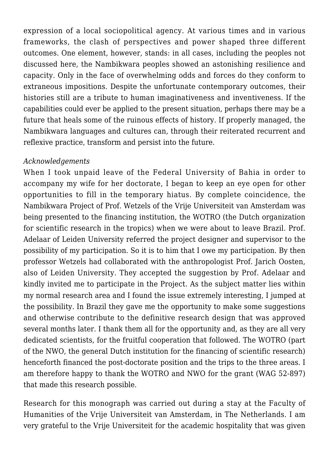expression of a local sociopolitical agency. At various times and in various frameworks, the clash of perspectives and power shaped three different outcomes. One element, however, stands: in all cases, including the peoples not discussed here, the Nambikwara peoples showed an astonishing resilience and capacity. Only in the face of overwhelming odds and forces do they conform to extraneous impositions. Despite the unfortunate contemporary outcomes, their histories still are a tribute to human imaginativeness and inventiveness. If the capabilities could ever be applied to the present situation, perhaps there may be a future that heals some of the ruinous effects of history. If properly managed, the Nambikwara languages and cultures can, through their reiterated recurrent and reflexive practice, transform and persist into the future.

## *Acknowledgements*

When I took unpaid leave of the Federal University of Bahia in order to accompany my wife for her doctorate, I began to keep an eye open for other opportunities to fill in the temporary hiatus. By complete coincidence, the Nambikwara Project of Prof. Wetzels of the Vrije Universiteit van Amsterdam was being presented to the financing institution, the WOTRO (the Dutch organization for scientific research in the tropics) when we were about to leave Brazil. Prof. Adelaar of Leiden University referred the project designer and supervisor to the possibility of my participation. So it is to him that I owe my participation. By then professor Wetzels had collaborated with the anthropologist Prof. Jarich Oosten, also of Leiden University. They accepted the suggestion by Prof. Adelaar and kindly invited me to participate in the Project. As the subject matter lies within my normal research area and I found the issue extremely interesting, I jumped at the possibility. In Brazil they gave me the opportunity to make some suggestions and otherwise contribute to the definitive research design that was approved several months later. I thank them all for the opportunity and, as they are all very dedicated scientists, for the fruitful cooperation that followed. The WOTRO (part of the NWO, the general Dutch institution for the financing of scientific research) henceforth financed the post-doctorate position and the trips to the three areas. I am therefore happy to thank the WOTRO and NWO for the grant (WAG 52-897) that made this research possible.

Research for this monograph was carried out during a stay at the Faculty of Humanities of the Vrije Universiteit van Amsterdam, in The Netherlands. I am very grateful to the Vrije Universiteit for the academic hospitality that was given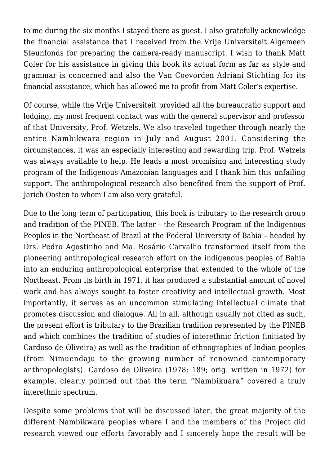to me during the six months I stayed there as guest. I also gratefully acknowledge the financial assistance that I received from the Vrije Universiteit Algemeen Steunfonds for preparing the camera-ready manuscript. I wish to thank Matt Coler for his assistance in giving this book its actual form as far as style and grammar is concerned and also the Van Coevorden Adriani Stichting for its financial assistance, which has allowed me to profit from Matt Coler's expertise.

Of course, while the Vrije Universiteit provided all the bureaucratic support and lodging, my most frequent contact was with the general supervisor and professor of that University, Prof. Wetzels. We also traveled together through nearly the entire Nambikwara region in July and August 2001. Considering the circumstances, it was an especially interesting and rewarding trip. Prof. Wetzels was always available to help. He leads a most promising and interesting study program of the Indigenous Amazonian languages and I thank him this unfailing support. The anthropological research also benefited from the support of Prof. Jarich Oosten to whom I am also very grateful.

Due to the long term of participation, this book is tributary to the research group and tradition of the PINEB. The latter – the Research Program of the Indigenous Peoples in the Northeast of Brazil at the Federal University of Bahia – headed by Drs. Pedro Agostinho and Ma. Rosário Carvalho transformed itself from the pioneering anthropological research effort on the indigenous peoples of Bahia into an enduring anthropological enterprise that extended to the whole of the Northeast. From its birth in 1971, it has produced a substantial amount of novel work and has always sought to foster creativity and intellectual growth. Most importantly, it serves as an uncommon stimulating intellectual climate that promotes discussion and dialogue. All in all, although usually not cited as such, the present effort is tributary to the Brazilian tradition represented by the PINEB and which combines the tradition of studies of interethnic friction (initiated by Cardoso de Oliveira) as well as the tradition of ethnographies of Indian peoples (from Nimuendaju to the growing number of renowned contemporary anthropologists). Cardoso de Oliveira (1978: 189; orig. written in 1972) for example, clearly pointed out that the term "Nambikuara" covered a truly interethnic spectrum.

Despite some problems that will be discussed later, the great majority of the different Nambikwara peoples where I and the members of the Project did research viewed our efforts favorably and I sincerely hope the result will be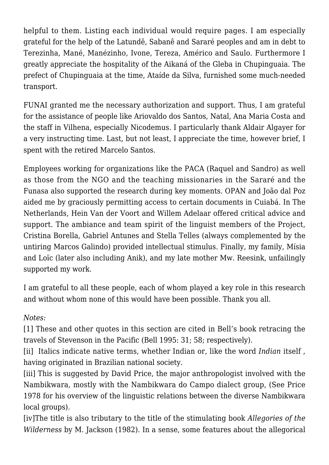helpful to them. Listing each individual would require pages. I am especially grateful for the help of the Latundê, Sabanê and Sararé peoples and am in debt to Terezinha, Mané, Manézinho, Ivone, Tereza, Américo and Saulo. Furthermore I greatly appreciate the hospitality of the Aikaná of the Gleba in Chupinguaia. The prefect of Chupinguaia at the time, Ataíde da Silva, furnished some much-needed transport.

FUNAI granted me the necessary authorization and support. Thus, I am grateful for the assistance of people like Ariovaldo dos Santos, Natal, Ana Maria Costa and the staff in Vilhena, especially Nicodemus. I particularly thank Aldair Algayer for a very instructing time. Last, but not least, I appreciate the time, however brief, I spent with the retired Marcelo Santos.

Employees working for organizations like the PACA (Raquel and Sandro) as well as those from the NGO and the teaching missionaries in the Sararé and the Funasa also supported the research during key moments. OPAN and João dal Poz aided me by graciously permitting access to certain documents in Cuiabá. In The Netherlands, Hein Van der Voort and Willem Adelaar offered critical advice and support. The ambiance and team spirit of the linguist members of the Project, Cristina Borella, Gabriel Antunes and Stella Telles (always complemented by the untiring Marcos Galindo) provided intellectual stimulus. Finally, my family, Mísia and Loïc (later also including Anik), and my late mother Mw. Reesink, unfailingly supported my work.

I am grateful to all these people, each of whom played a key role in this research and without whom none of this would have been possible. Thank you all.

## *Notes:*

[1] These and other quotes in this section are cited in Bell's book retracing the travels of Stevenson in the Pacific (Bell 1995: 31; 58; respectively).

[ii] Italics indicate native terms, whether Indian or, like the word *Indian* itself , having originated in Brazilian national society.

[iii] This is suggested by David Price, the major anthropologist involved with the Nambikwara, mostly with the Nambikwara do Campo dialect group, (See Price 1978 for his overview of the linguistic relations between the diverse Nambikwara local groups).

[iv]The title is also tributary to the title of the stimulating book *Allegories of the Wilderness* by M. Jackson (1982). In a sense, some features about the allegorical